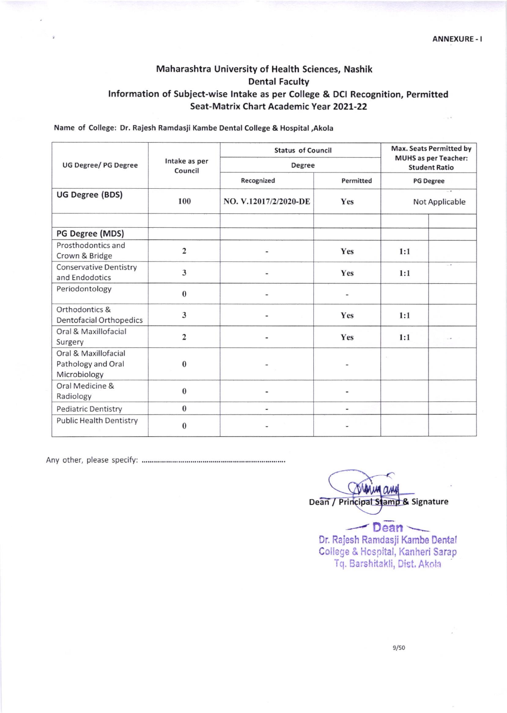## Maharashtra University of Health Sciences, Nashik Dental Faculty Information of Subject-wise Intake as per College & DCI Recognition, Permitted Seat-Matrix Chart Academic Year 2O2L-22

Name of College: Dr. Rajesh Ramdasii Kambe Dental College & Hospital,Akola

| <b>UG Degree/ PG Degree</b>                                | Intake as per<br>Council | <b>Status of Council</b><br>Degree |               | <b>Max. Seats Permitted by</b><br><b>MUHS</b> as per Teacher:<br><b>Student Ratio</b> |      |
|------------------------------------------------------------|--------------------------|------------------------------------|---------------|---------------------------------------------------------------------------------------|------|
|                                                            |                          |                                    |               |                                                                                       |      |
|                                                            |                          | <b>UG Degree (BDS)</b>             | 100           | NO. V.12017/2/2020-DE                                                                 | Yes  |
| PG Degree (MDS)                                            |                          |                                    |               |                                                                                       |      |
| Prosthodontics and<br>Crown & Bridge                       | $\overline{\mathbf{c}}$  |                                    | Yes           | 1:1                                                                                   |      |
| <b>Conservative Dentistry</b><br>and Endodotics            | 3                        |                                    | Yes           | 1:1                                                                                   | $-4$ |
| Periodontology                                             | $\bf{0}$                 |                                    |               |                                                                                       |      |
| Orthodontics &<br><b>Dentofacial Orthopedics</b>           | 3                        |                                    | Yes           | 1:1                                                                                   |      |
| Oral & Maxillofacial<br>Surgery                            | $\overline{c}$           |                                    | Yes           | 1:1                                                                                   |      |
| Oral & Maxillofacial<br>Pathology and Oral<br>Microbiology | $\bf{0}$                 |                                    |               | $\sim 10^{-1}$                                                                        |      |
| Oral Medicine &<br>Radiology                               | $\bf{0}$                 |                                    |               |                                                                                       |      |
| <b>Pediatric Dentistry</b>                                 | $\boldsymbol{0}$         | $\overline{\phantom{a}}$           | $\frac{1}{2}$ |                                                                                       |      |
| <b>Public Health Dentistry</b>                             | $\bf{0}$                 |                                    |               |                                                                                       |      |

Any other, please specify

**MA CLAM** Dean / Principal Stamp & Signature

Dean ~ Dr. Rajesh Ramdasji Kambe Dental College & Hospital, Kanheri Sarap Tq. Barshitakli, Dist. Akoh